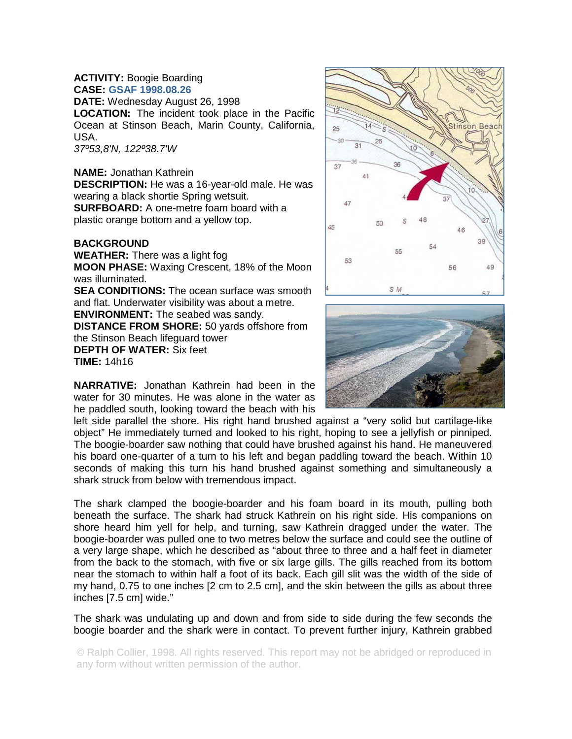#### **ACTIVITY:** Boogie Boarding **CASE: GSAF 1998.08.26**

**DATE:** Wednesday August 26, 1998

**LOCATION:** The incident took place in the Pacific Ocean at Stinson Beach, Marin County, California, USA.

*37º53,8'N, 122º38.7'W* 

#### **NAME:** Jonathan Kathrein

**DESCRIPTION:** He was a 16-year-old male. He was wearing a black shortie Spring wetsuit. **SURFBOARD:** A one-metre foam board with a plastic orange bottom and a yellow top.

## **BACKGROUND**

**WEATHER:** There was a light fog **MOON PHASE:** Waxing Crescent, 18% of the Moon was illuminated. **SEA CONDITIONS:** The ocean surface was smooth and flat. Underwater visibility was about a metre. **ENVIRONMENT:** The seabed was sandy. **DISTANCE FROM SHORE:** 50 yards offshore from the Stinson Beach lifeguard tower **DEPTH OF WATER:** Six feet **TIME:** 14h16

**NARRATIVE:** Jonathan Kathrein had been in the water for 30 minutes. He was alone in the water as he paddled south, looking toward the beach with his

left side parallel the shore. His right hand brushed against a "very solid but cartilage-like object" He immediately turned and looked to his right, hoping to see a jellyfish or pinniped. The boogie-boarder saw nothing that could have brushed against his hand. He maneuvered his board one-quarter of a turn to his left and began paddling toward the beach. Within 10 seconds of making this turn his hand brushed against something and simultaneously a shark struck from below with tremendous impact.

The shark clamped the boogie-boarder and his foam board in its mouth, pulling both beneath the surface. The shark had struck Kathrein on his right side. His companions on shore heard him yell for help, and turning, saw Kathrein dragged under the water. The boogie-boarder was pulled one to two metres below the surface and could see the outline of a very large shape, which he described as "about three to three and a half feet in diameter from the back to the stomach, with five or six large gills. The gills reached from its bottom near the stomach to within half a foot of its back. Each gill slit was the width of the side of my hand, 0.75 to one inches [2 cm to 2.5 cm], and the skin between the gills as about three inches [7.5 cm] wide."

The shark was undulating up and down and from side to side during the few seconds the boogie boarder and the shark were in contact. To prevent further injury, Kathrein grabbed

© Ralph Collier, 1998. All rights reserved. This report may not be abridged or reproduced in any form without written permission of the author.



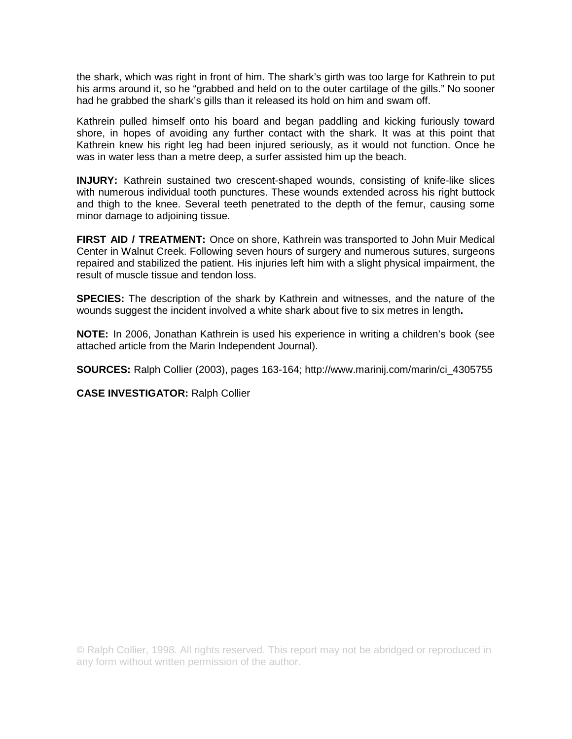the shark, which was right in front of him. The shark's girth was too large for Kathrein to put his arms around it, so he "grabbed and held on to the outer cartilage of the gills." No sooner had he grabbed the shark's gills than it released its hold on him and swam off.

Kathrein pulled himself onto his board and began paddling and kicking furiously toward shore, in hopes of avoiding any further contact with the shark. It was at this point that Kathrein knew his right leg had been injured seriously, as it would not function. Once he was in water less than a metre deep, a surfer assisted him up the beach.

**INJURY:** Kathrein sustained two crescent-shaped wounds, consisting of knife-like slices with numerous individual tooth punctures. These wounds extended across his right buttock and thigh to the knee. Several teeth penetrated to the depth of the femur, causing some minor damage to adjoining tissue.

**FIRST AID / TREATMENT:** Once on shore, Kathrein was transported to John Muir Medical Center in Walnut Creek. Following seven hours of surgery and numerous sutures, surgeons repaired and stabilized the patient. His injuries left him with a slight physical impairment, the result of muscle tissue and tendon loss.

**SPECIES:** The description of the shark by Kathrein and witnesses, and the nature of the wounds suggest the incident involved a white shark about five to six metres in length**.**

**NOTE:** In 2006, Jonathan Kathrein is used his experience in writing a children's book (see attached article from the Marin Independent Journal).

**SOURCES:** Ralph Collier (2003), pages 163-164; http://www.marinij.com/marin/ci\_4305755

**CASE INVESTIGATOR:** Ralph Collier

© Ralph Collier, 1998. All rights reserved. This report may not be abridged or reproduced in any form without written permission of the author.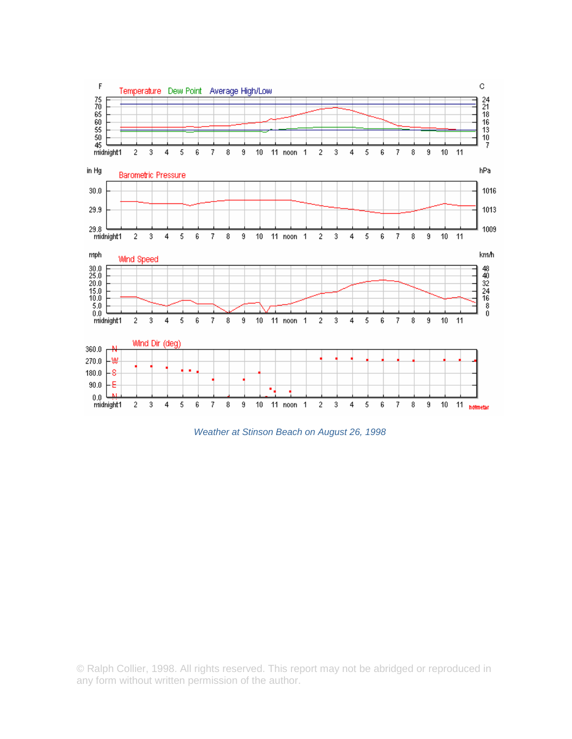

*Weather at Stinson Beach on August 26, 1998* 

© Ralph Collier, 1998. All rights reserved. This report may not be abridged or reproduced in any form without written permission of the author.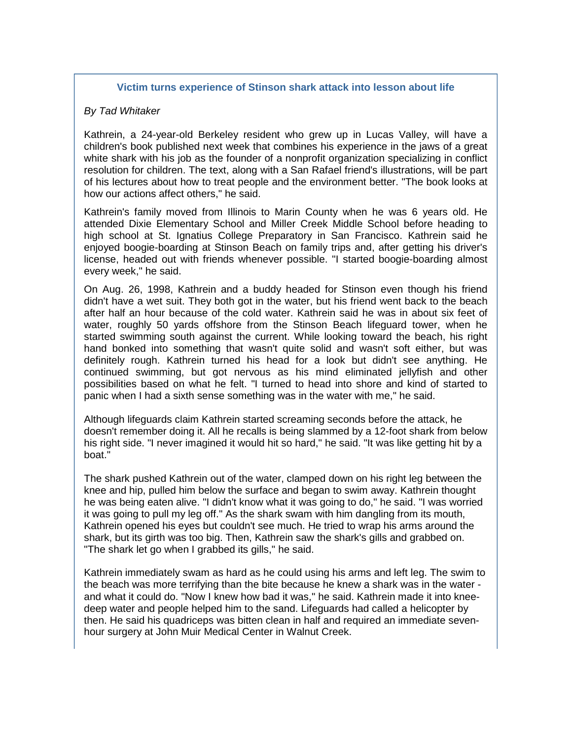# **Victim turns experience of Stinson shark attack into lesson about life**

### *By Tad Whitaker*

Kathrein, a 24-year-old Berkeley resident who grew up in Lucas Valley, will have a children's book published next week that combines his experience in the jaws of a great white shark with his job as the founder of a nonprofit organization specializing in conflict resolution for children. The text, along with a San Rafael friend's illustrations, will be part of his lectures about how to treat people and the environment better. "The book looks at how our actions affect others," he said.

Kathrein's family moved from Illinois to Marin County when he was 6 years old. He attended Dixie Elementary School and Miller Creek Middle School before heading to high school at St. Ignatius College Preparatory in San Francisco. Kathrein said he enjoyed boogie-boarding at Stinson Beach on family trips and, after getting his driver's license, headed out with friends whenever possible. "I started boogie-boarding almost every week," he said.

On Aug. 26, 1998, Kathrein and a buddy headed for Stinson even though his friend didn't have a wet suit. They both got in the water, but his friend went back to the beach after half an hour because of the cold water. Kathrein said he was in about six feet of water, roughly 50 yards offshore from the Stinson Beach lifeguard tower, when he started swimming south against the current. While looking toward the beach, his right hand bonked into something that wasn't quite solid and wasn't soft either, but was definitely rough. Kathrein turned his head for a look but didn't see anything. He continued swimming, but got nervous as his mind eliminated jellyfish and other possibilities based on what he felt. "I turned to head into shore and kind of started to panic when I had a sixth sense something was in the water with me," he said.

Although lifeguards claim Kathrein started screaming seconds before the attack, he doesn't remember doing it. All he recalls is being slammed by a 12-foot shark from below his right side. "I never imagined it would hit so hard," he said. "It was like getting hit by a boat."

The shark pushed Kathrein out of the water, clamped down on his right leg between the knee and hip, pulled him below the surface and began to swim away. Kathrein thought he was being eaten alive. "I didn't know what it was going to do," he said. "I was worried it was going to pull my leg off." As the shark swam with him dangling from its mouth, Kathrein opened his eyes but couldn't see much. He tried to wrap his arms around the shark, but its girth was too big. Then, Kathrein saw the shark's gills and grabbed on. "The shark let go when I grabbed its gills," he said.

Kathrein immediately swam as hard as he could using his arms and left leg. The swim to the beach was more terrifying than the bite because he knew a shark was in the water and what it could do. "Now I knew how bad it was," he said. Kathrein made it into kneedeep water and people helped him to the sand. Lifeguards had called a helicopter by then. He said his quadriceps was bitten clean in half and required an immediate sevenhour surgery at John Muir Medical Center in Walnut Creek.